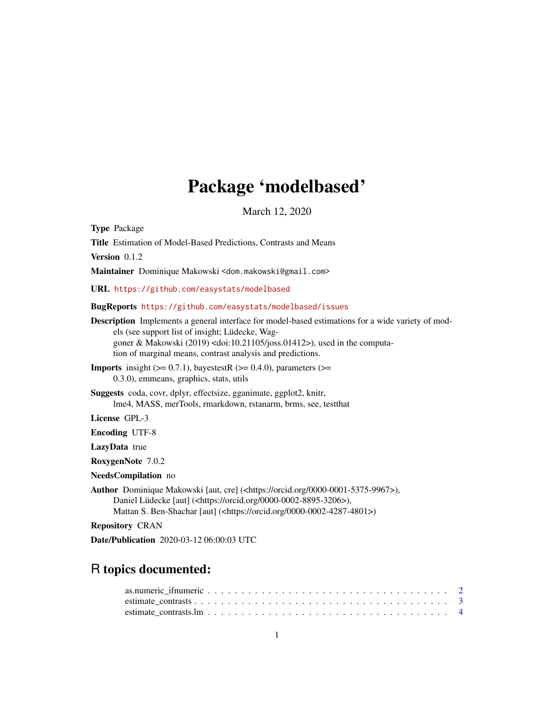# Package 'modelbased'

March 12, 2020

<span id="page-0-0"></span>Type Package

Title Estimation of Model-Based Predictions, Contrasts and Means Version 0.1.2 Maintainer Dominique Makowski <dom.makowski@gmail.com> URL <https://github.com/easystats/modelbased> BugReports <https://github.com/easystats/modelbased/issues> Description Implements a general interface for model-based estimations for a wide variety of models (see support list of insight; Lüdecke, Waggoner & Makowski (2019) <doi:10.21105/joss.01412>), used in the computation of marginal means, contrast analysis and predictions. **Imports** insight  $(>= 0.7.1)$ , bayestestR  $(>= 0.4.0)$ , parameters  $(>= 0.4.0)$ 0.3.0), emmeans, graphics, stats, utils Suggests coda, covr, dplyr, effectsize, gganimate, ggplot2, knitr, lme4, MASS, merTools, rmarkdown, rstanarm, brms, see, testthat License GPL-3 Encoding UTF-8 LazyData true RoxygenNote 7.0.2 NeedsCompilation no Author Dominique Makowski [aut, cre] (<https://orcid.org/0000-0001-5375-9967>), Daniel Lüdecke [aut] (<https://orcid.org/0000-0002-8895-3206>), Mattan S. Ben-Shachar [aut] (<https://orcid.org/0000-0002-4287-4801>) Repository CRAN Date/Publication 2020-03-12 06:00:03 UTC

# R topics documented: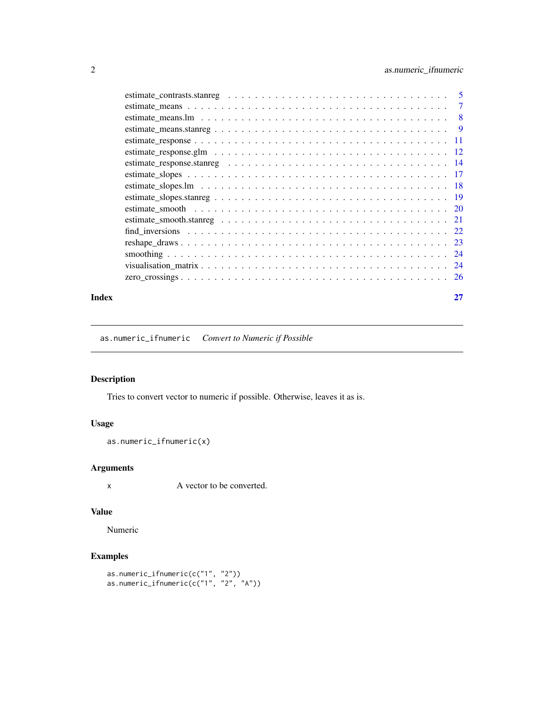<span id="page-1-0"></span>

| Index | 27 |
|-------|----|

as.numeric\_ifnumeric *Convert to Numeric if Possible*

# Description

Tries to convert vector to numeric if possible. Otherwise, leaves it as is.

# Usage

```
as.numeric_ifnumeric(x)
```
### Arguments

x A vector to be converted.

#### Value

Numeric

# Examples

```
as.numeric_ifnumeric(c("1", "2"))
as.numeric_ifnumeric(c("1", "2", "A"))
```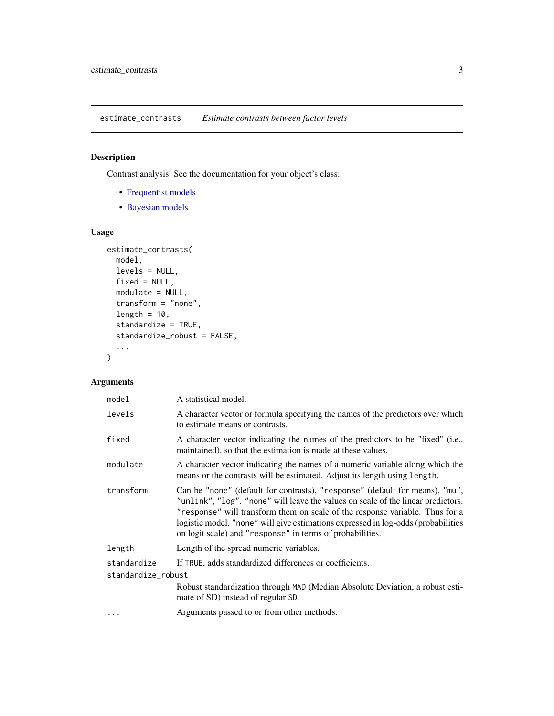<span id="page-2-0"></span>estimate\_contrasts *Estimate contrasts between factor levels*

#### Description

Contrast analysis. See the documentation for your object's class:

- [Frequentist models](#page-3-1)
- [Bayesian models](#page-4-1)

#### Usage

```
estimate_contrasts(
 model,
 levels = NULL,
 fixed = NULL,modulate = NULL,
 transform = "none",
 length = 10,
 standardize = TRUE,
 standardize_robust = FALSE,
  ...
)
```
# Arguments

| model              | A statistical model.                                                                                                                                                                                                                                                                                                                                                                               |
|--------------------|----------------------------------------------------------------------------------------------------------------------------------------------------------------------------------------------------------------------------------------------------------------------------------------------------------------------------------------------------------------------------------------------------|
| levels             | A character vector or formula specifying the names of the predictors over which<br>to estimate means or contrasts.                                                                                                                                                                                                                                                                                 |
| fixed              | A character vector indicating the names of the predictors to be "fixed" (i.e.,<br>maintained), so that the estimation is made at these values.                                                                                                                                                                                                                                                     |
| modulate           | A character vector indicating the names of a numeric variable along which the<br>means or the contrasts will be estimated. Adjust its length using length.                                                                                                                                                                                                                                         |
| transform          | Can be "none" (default for contrasts), "response" (default for means), "mu",<br>"unlink", "log". "none" will leave the values on scale of the linear predictors.<br>"response" will transform them on scale of the response variable. Thus for a<br>logistic model, "none" will give estimations expressed in log-odds (probabilities<br>on logit scale) and "response" in terms of probabilities. |
| length             | Length of the spread numeric variables.                                                                                                                                                                                                                                                                                                                                                            |
| standardize        | If TRUE, adds standardized differences or coefficients.                                                                                                                                                                                                                                                                                                                                            |
| standardize_robust |                                                                                                                                                                                                                                                                                                                                                                                                    |
|                    | Robust standardization through MAD (Median Absolute Deviation, a robust esti-<br>mate of SD) instead of regular SD.                                                                                                                                                                                                                                                                                |
|                    | Arguments passed to or from other methods.                                                                                                                                                                                                                                                                                                                                                         |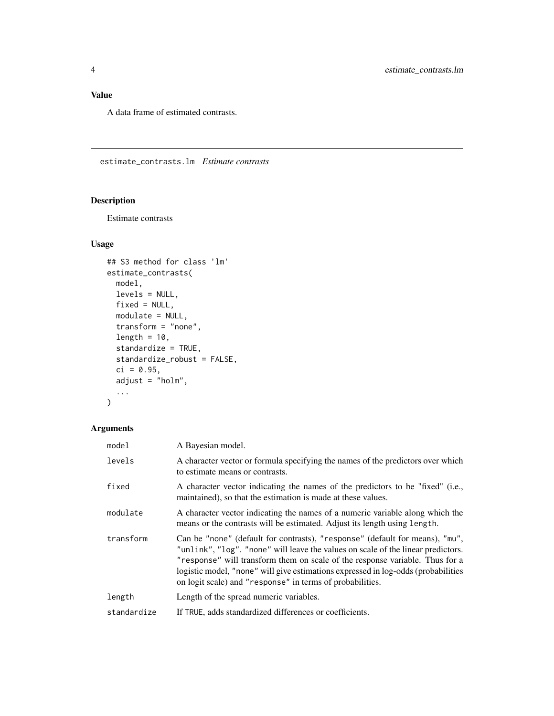# <span id="page-3-0"></span>Value

A data frame of estimated contrasts.

<span id="page-3-1"></span>estimate\_contrasts.lm *Estimate contrasts*

#### Description

Estimate contrasts

### Usage

```
## S3 method for class 'lm'
estimate_contrasts(
 model,
 levels = NULL,
 fixed = NULL,
 modulate = NULL,
 transform = "none",
  length = 10,
  standardize = TRUE,
  standardize_robust = FALSE,
  ci = 0.95,adjust = "holm",
  ...
\mathcal{L}
```
# Arguments

| model       | A Bayesian model.                                                                                                                                                                                                                                                                                                                                                                                  |
|-------------|----------------------------------------------------------------------------------------------------------------------------------------------------------------------------------------------------------------------------------------------------------------------------------------------------------------------------------------------------------------------------------------------------|
| levels      | A character vector or formula specifying the names of the predictors over which<br>to estimate means or contrasts.                                                                                                                                                                                                                                                                                 |
| fixed       | A character vector indicating the names of the predictors to be "fixed" (i.e.,<br>maintained), so that the estimation is made at these values.                                                                                                                                                                                                                                                     |
| modulate    | A character vector indicating the names of a numeric variable along which the<br>means or the contrasts will be estimated. Adjust its length using length.                                                                                                                                                                                                                                         |
| transform   | Can be "none" (default for contrasts), "response" (default for means), "mu",<br>"unlink", "log". "none" will leave the values on scale of the linear predictors.<br>"response" will transform them on scale of the response variable. Thus for a<br>logistic model, "none" will give estimations expressed in log-odds (probabilities<br>on logit scale) and "response" in terms of probabilities. |
| length      | Length of the spread numeric variables.                                                                                                                                                                                                                                                                                                                                                            |
| standardize | If TRUE, adds standardized differences or coefficients.                                                                                                                                                                                                                                                                                                                                            |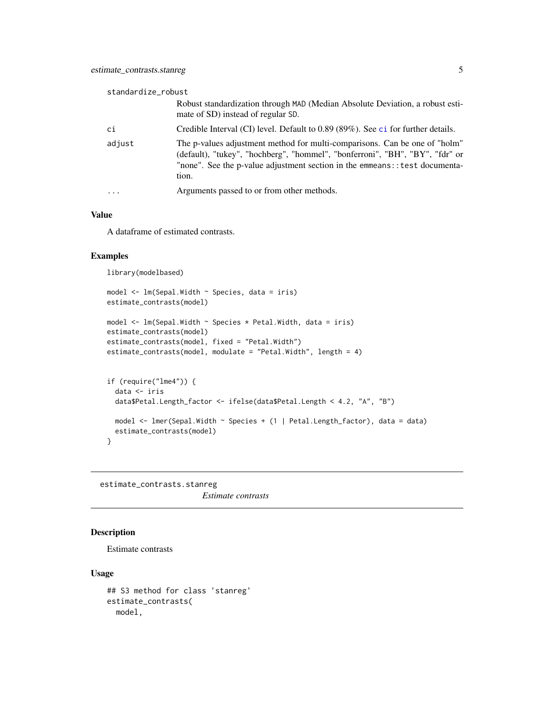<span id="page-4-0"></span>

| standardize_robust |                                                                                                                                                                                                                                                     |
|--------------------|-----------------------------------------------------------------------------------------------------------------------------------------------------------------------------------------------------------------------------------------------------|
|                    | Robust standardization through MAD (Median Absolute Deviation, a robust esti-<br>mate of SD) instead of regular SD.                                                                                                                                 |
| ci                 | Credible Interval (CI) level. Default to 0.89 (89%). See ci for further details.                                                                                                                                                                    |
| adjust             | The p-values adjustment method for multi-comparisons. Can be one of "holm"<br>(default), "tukey", "hochberg", "hommel", "bonferroni", "BH", "BY", "fdr" or<br>"none". See the p-value adjustment section in the emmeans: : test documenta-<br>tion. |
| $\ddotsc$          | Arguments passed to or from other methods.                                                                                                                                                                                                          |

#### Value

A dataframe of estimated contrasts.

#### Examples

library(modelbased)

```
model <- lm(Sepal.Width ~ Species, data = iris)
estimate_contrasts(model)
model <- lm(Sepal.Width ~ Species * Petal.Width, data = iris)
estimate_contrasts(model)
estimate_contrasts(model, fixed = "Petal.Width")
estimate_contrasts(model, modulate = "Petal.Width", length = 4)
if (require("lme4")) {
  data <- iris
  data$Petal.Length_factor <- ifelse(data$Petal.Length < 4.2, "A", "B")
 model <- lmer(Sepal.Width ~ Species + (1 | Petal.Length_factor), data = data)
  estimate_contrasts(model)
}
```
<span id="page-4-1"></span>estimate\_contrasts.stanreg *Estimate contrasts*

#### Description

Estimate contrasts

```
## S3 method for class 'stanreg'
estimate_contrasts(
 model,
```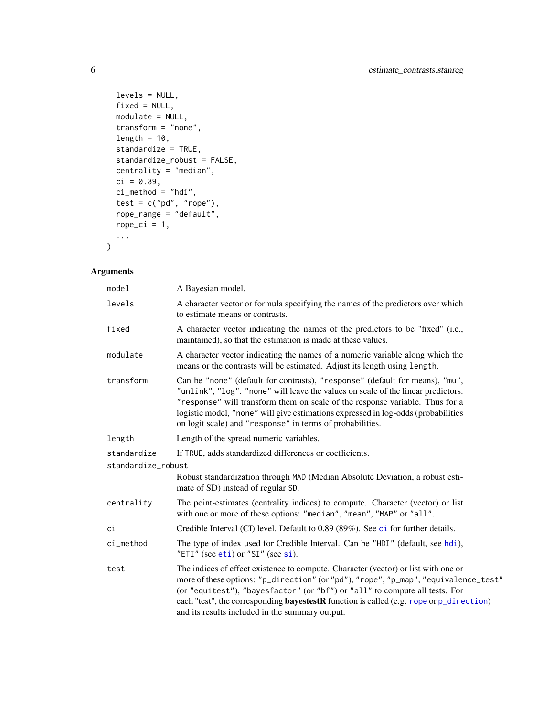```
levels = NULL,
fixed = NULL,
modulate = NULL,
transform = "none",
length = 10,
standardize = TRUE,
standardize_robust = FALSE,
centrality = "median",
ci = 0.89,ci_method = "hdi",
test = c("pd", "rope"),rope_range = "default",
rope\_ci = 1,
...
```
 $\mathcal{L}$ 

| model              | A Bayesian model.                                                                                                                                                                                                                                                                                                                                                                                             |
|--------------------|---------------------------------------------------------------------------------------------------------------------------------------------------------------------------------------------------------------------------------------------------------------------------------------------------------------------------------------------------------------------------------------------------------------|
| levels             | A character vector or formula specifying the names of the predictors over which<br>to estimate means or contrasts.                                                                                                                                                                                                                                                                                            |
| fixed              | A character vector indicating the names of the predictors to be "fixed" (i.e.,<br>maintained), so that the estimation is made at these values.                                                                                                                                                                                                                                                                |
| modulate           | A character vector indicating the names of a numeric variable along which the<br>means or the contrasts will be estimated. Adjust its length using length.                                                                                                                                                                                                                                                    |
| transform          | Can be "none" (default for contrasts), "response" (default for means), "mu",<br>"unlink", "log". "none" will leave the values on scale of the linear predictors.<br>"response" will transform them on scale of the response variable. Thus for a<br>logistic model, "none" will give estimations expressed in log-odds (probabilities<br>on logit scale) and "response" in terms of probabilities.            |
| length             | Length of the spread numeric variables.                                                                                                                                                                                                                                                                                                                                                                       |
| standardize        | If TRUE, adds standardized differences or coefficients.                                                                                                                                                                                                                                                                                                                                                       |
| standardize_robust |                                                                                                                                                                                                                                                                                                                                                                                                               |
|                    | Robust standardization through MAD (Median Absolute Deviation, a robust esti-<br>mate of SD) instead of regular SD.                                                                                                                                                                                                                                                                                           |
| centrality         | The point-estimates (centrality indices) to compute. Character (vector) or list<br>with one or more of these options: "median", "mean", "MAP" or "all".                                                                                                                                                                                                                                                       |
| сi                 | Credible Interval (CI) level. Default to 0.89 (89%). See ci for further details.                                                                                                                                                                                                                                                                                                                              |
| ci_method          | The type of index used for Credible Interval. Can be "HDI" (default, see hdi),<br>"ETI" (see eti) or " $SI$ " (see si).                                                                                                                                                                                                                                                                                       |
| test               | The indices of effect existence to compute. Character (vector) or list with one or<br>more of these options: "p_direction" (or "pd"), "rope", "p_map", "equivalence_test"<br>(or "equitest"), "bayesfactor" (or "bf") or "all" to compute all tests. For<br>each "test", the corresponding <b>bayestestR</b> function is called (e.g. rope or p_direction)<br>and its results included in the summary output. |

<span id="page-5-0"></span>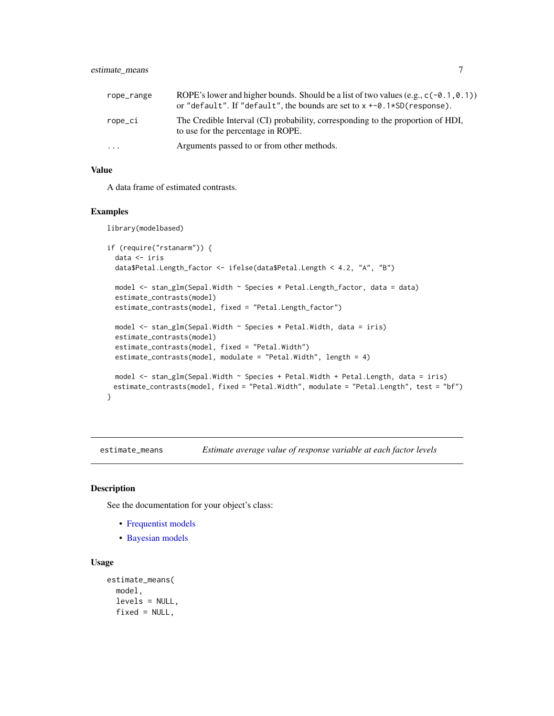#### <span id="page-6-0"></span>estimate\_means 7

| rope_range | ROPE's lower and higher bounds. Should be a list of two values (e.g., $c(-0.1, 0.1)$ )<br>or "default". If "default", the bounds are set to $x + -0.1*SD$ (response). |
|------------|-----------------------------------------------------------------------------------------------------------------------------------------------------------------------|
| rope_ci    | The Credible Interval (CI) probability, corresponding to the proportion of HDI,<br>to use for the percentage in ROPE.                                                 |
| $\ddotsc$  | Arguments passed to or from other methods.                                                                                                                            |

#### Value

A data frame of estimated contrasts.

#### Examples

library(modelbased)

```
if (require("rstanarm")) {
 data <- iris
 data$Petal.Length_factor <- ifelse(data$Petal.Length < 4.2, "A", "B")
 model <- stan_glm(Sepal.Width ~ Species * Petal.Length_factor, data = data)
 estimate_contrasts(model)
 estimate_contrasts(model, fixed = "Petal.Length_factor")
 model \le stan_glm(Sepal.Width \sim Species \star Petal.Width, data = iris)
 estimate_contrasts(model)
 estimate_contrasts(model, fixed = "Petal.Width")
 estimate_contrasts(model, modulate = "Petal.Width", length = 4)
 model \le stan_glm(Sepal.Width \sim Species + Petal.Width + Petal.Length, data = iris)
 estimate_contrasts(model, fixed = "Petal.Width", modulate = "Petal.Length", test = "bf")
}
```
estimate\_means *Estimate average value of response variable at each factor levels*

#### Description

See the documentation for your object's class:

- [Frequentist models](#page-7-1)
- [Bayesian models](#page-8-1)

```
estimate_means(
 model,
  levels = NULL,
 fixed = NULL,
```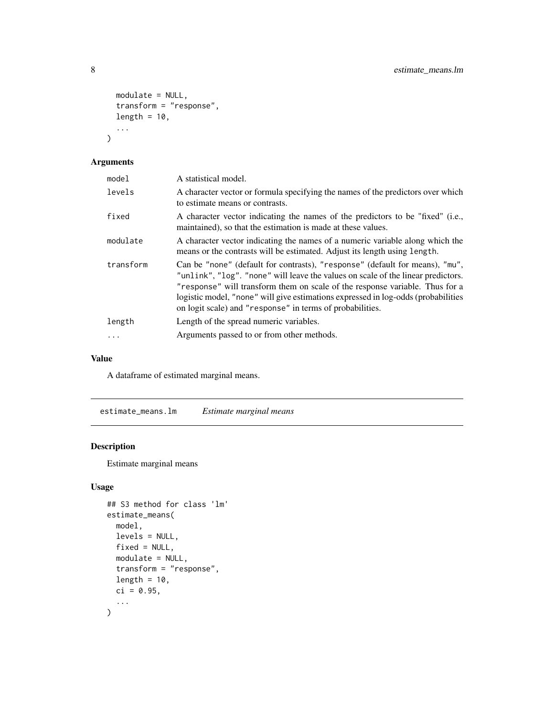```
modulate = NULL,
  transform = "response",
 length = 10,
  ...
)
```

| model      | A statistical model.                                                                                                                                                                                                                                                                                                                                                                               |
|------------|----------------------------------------------------------------------------------------------------------------------------------------------------------------------------------------------------------------------------------------------------------------------------------------------------------------------------------------------------------------------------------------------------|
| levels     | A character vector or formula specifying the names of the predictors over which<br>to estimate means or contrasts.                                                                                                                                                                                                                                                                                 |
| fixed      | A character vector indicating the names of the predictors to be "fixed" (i.e.,<br>maintained), so that the estimation is made at these values.                                                                                                                                                                                                                                                     |
| modulate   | A character vector indicating the names of a numeric variable along which the<br>means or the contrasts will be estimated. Adjust its length using length.                                                                                                                                                                                                                                         |
| transform  | Can be "none" (default for contrasts), "response" (default for means), "mu",<br>"unlink", "log". "none" will leave the values on scale of the linear predictors.<br>"response" will transform them on scale of the response variable. Thus for a<br>logistic model, "none" will give estimations expressed in log-odds (probabilities<br>on logit scale) and "response" in terms of probabilities. |
| length     | Length of the spread numeric variables.                                                                                                                                                                                                                                                                                                                                                            |
| $\ddots$ . | Arguments passed to or from other methods.                                                                                                                                                                                                                                                                                                                                                         |

#### Value

A dataframe of estimated marginal means.

<span id="page-7-1"></span>estimate\_means.lm *Estimate marginal means*

#### Description

Estimate marginal means

```
## S3 method for class 'lm'
estimate_means(
 model,
 levels = NULL,
 fixed = NULL,
 modulate = NULL,
 transform = "response",
  length = 10,
 ci = 0.95,...
)
```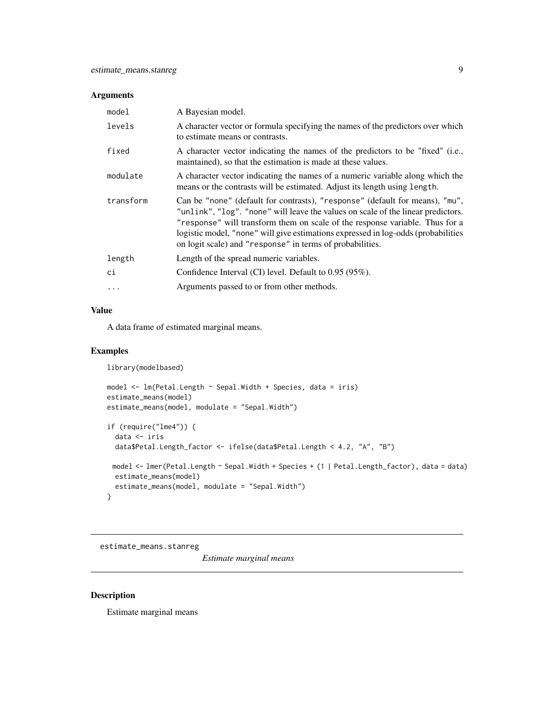<span id="page-8-0"></span>

| model     | A Bayesian model.                                                                                                                                                                                                                                                                                                                                                                                  |
|-----------|----------------------------------------------------------------------------------------------------------------------------------------------------------------------------------------------------------------------------------------------------------------------------------------------------------------------------------------------------------------------------------------------------|
| levels    | A character vector or formula specifying the names of the predictors over which<br>to estimate means or contrasts.                                                                                                                                                                                                                                                                                 |
| fixed     | A character vector indicating the names of the predictors to be "fixed" (i.e.,<br>maintained), so that the estimation is made at these values.                                                                                                                                                                                                                                                     |
| modulate  | A character vector indicating the names of a numeric variable along which the<br>means or the contrasts will be estimated. Adjust its length using length.                                                                                                                                                                                                                                         |
| transform | Can be "none" (default for contrasts), "response" (default for means), "mu",<br>"unlink", "log". "none" will leave the values on scale of the linear predictors.<br>"response" will transform them on scale of the response variable. Thus for a<br>logistic model, "none" will give estimations expressed in log-odds (probabilities<br>on logit scale) and "response" in terms of probabilities. |
| length    | Length of the spread numeric variables.                                                                                                                                                                                                                                                                                                                                                            |
| ci        | Confidence Interval (CI) level. Default to 0.95 (95%).                                                                                                                                                                                                                                                                                                                                             |
|           | Arguments passed to or from other methods.                                                                                                                                                                                                                                                                                                                                                         |

#### Value

A data frame of estimated marginal means.

#### Examples

```
library(modelbased)
```

```
model <- lm(Petal.Length ~ Sepal.Width + Species, data = iris)
estimate_means(model)
estimate_means(model, modulate = "Sepal.Width")
if (require("lme4")) {
  data <- iris
  data$Petal.Length_factor <- ifelse(data$Petal.Length < 4.2, "A", "B")
 model <- lmer(Petal.Length ~ Sepal.Width + Species + (1 | Petal.Length_factor), data = data)
  estimate_means(model)
  estimate_means(model, modulate = "Sepal.Width")
}
```
<span id="page-8-1"></span>estimate\_means.stanreg

*Estimate marginal means*

# Description

Estimate marginal means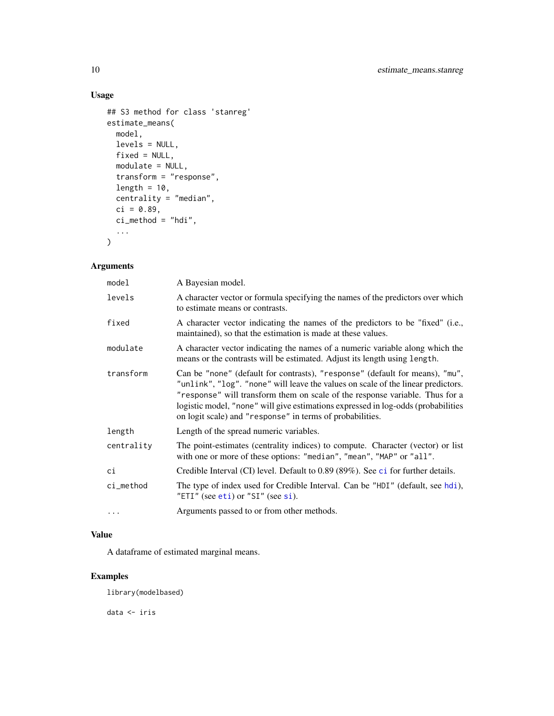# Usage

```
## S3 method for class 'stanreg'
estimate_means(
 model,
 levels = NULL,
 fixed = NULL,
 modulate = NULL,
  transform = "response",
 length = 10,
 centrality = "median",
 ci = 0.89,ci method = "hdi",
  ...
\mathcal{L}
```
### Arguments

| model      | A Bayesian model.                                                                                                                                                                                                                                                                                                                                                                                  |
|------------|----------------------------------------------------------------------------------------------------------------------------------------------------------------------------------------------------------------------------------------------------------------------------------------------------------------------------------------------------------------------------------------------------|
| levels     | A character vector or formula specifying the names of the predictors over which<br>to estimate means or contrasts.                                                                                                                                                                                                                                                                                 |
| fixed      | A character vector indicating the names of the predictors to be "fixed" (i.e.,<br>maintained), so that the estimation is made at these values.                                                                                                                                                                                                                                                     |
| modulate   | A character vector indicating the names of a numeric variable along which the<br>means or the contrasts will be estimated. Adjust its length using length.                                                                                                                                                                                                                                         |
| transform  | Can be "none" (default for contrasts), "response" (default for means), "mu",<br>"unlink", "log". "none" will leave the values on scale of the linear predictors.<br>"response" will transform them on scale of the response variable. Thus for a<br>logistic model, "none" will give estimations expressed in log-odds (probabilities<br>on logit scale) and "response" in terms of probabilities. |
| length     | Length of the spread numeric variables.                                                                                                                                                                                                                                                                                                                                                            |
| centrality | The point-estimates (centrality indices) to compute. Character (vector) or list<br>with one or more of these options: "median", "mean", "MAP" or "all".                                                                                                                                                                                                                                            |
| ci         | Credible Interval (CI) level. Default to 0.89 (89%). See ci for further details.                                                                                                                                                                                                                                                                                                                   |
| ci_method  | The type of index used for Credible Interval. Can be "HDI" (default, see hdi),<br>"ETI" (see eti) or "SI" (see si).                                                                                                                                                                                                                                                                                |
| $\cdots$   | Arguments passed to or from other methods.                                                                                                                                                                                                                                                                                                                                                         |

#### Value

A dataframe of estimated marginal means.

#### Examples

library(modelbased)

data <- iris

<span id="page-9-0"></span>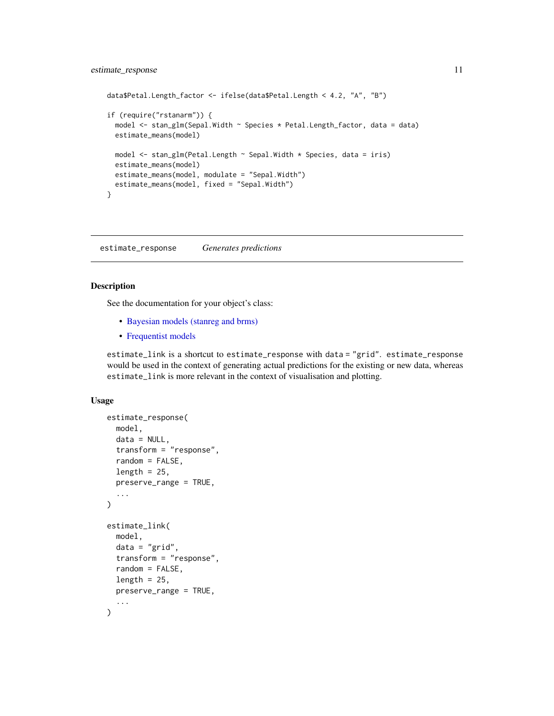```
data$Petal.Length_factor <- ifelse(data$Petal.Length < 4.2, "A", "B")
if (require("rstanarm")) {
 model <- stan_glm(Sepal.Width ~ Species * Petal.Length_factor, data = data)
 estimate_means(model)
 model <- stan_glm(Petal.Length ~ Sepal.Width * Species, data = iris)
 estimate_means(model)
 estimate_means(model, modulate = "Sepal.Width")
 estimate_means(model, fixed = "Sepal.Width")
}
```
estimate\_response *Generates predictions*

#### Description

See the documentation for your object's class:

- [Bayesian models \(stanreg and brms\)](#page-13-1)
- [Frequentist models](#page-11-1)

estimate\_link is a shortcut to estimate\_response with data = "grid". estimate\_response would be used in the context of generating actual predictions for the existing or new data, whereas estimate\_link is more relevant in the context of visualisation and plotting.

```
estimate_response(
  model,
  data = NULL,
  transform = "response",
  random = FALSE,
  length = 25,
  preserve_range = TRUE,
  ...
)
estimate_link(
  model,
  data = "grid",transform = "response",
  random = FALSE,
  length = 25,
  preserve_range = TRUE,
  ...
)
```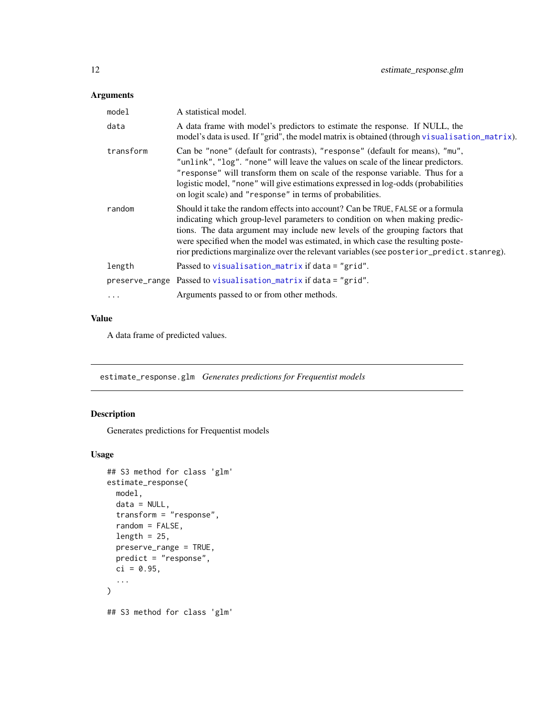<span id="page-11-0"></span>

| model     | A statistical model.                                                                                                                                                                                                                                                                                                                                                                                                           |
|-----------|--------------------------------------------------------------------------------------------------------------------------------------------------------------------------------------------------------------------------------------------------------------------------------------------------------------------------------------------------------------------------------------------------------------------------------|
| data      | A data frame with model's predictors to estimate the response. If NULL, the<br>model's data is used. If "grid", the model matrix is obtained (through visualisation_matrix).                                                                                                                                                                                                                                                   |
| transform | Can be "none" (default for contrasts), "response" (default for means), "mu",<br>"unlink", "log". "none" will leave the values on scale of the linear predictors.<br>"response" will transform them on scale of the response variable. Thus for a<br>logistic model, "none" will give estimations expressed in log-odds (probabilities<br>on logit scale) and "response" in terms of probabilities.                             |
| random    | Should it take the random effects into account? Can be TRUE, FALSE or a formula<br>indicating which group-level parameters to condition on when making predic-<br>tions. The data argument may include new levels of the grouping factors that<br>were specified when the model was estimated, in which case the resulting poste-<br>rior predictions marginalize over the relevant variables (see posterior_predict.stanreg). |
| length    | Passed to visualisation_matrix if data = "grid".                                                                                                                                                                                                                                                                                                                                                                               |
|           | preserve_range Passed to visualisation_matrix if data = "grid".                                                                                                                                                                                                                                                                                                                                                                |
| $\ddotsc$ | Arguments passed to or from other methods.                                                                                                                                                                                                                                                                                                                                                                                     |

# Value

A data frame of predicted values.

<span id="page-11-1"></span>estimate\_response.glm *Generates predictions for Frequentist models*

# Description

Generates predictions for Frequentist models

```
## S3 method for class 'glm'
estimate_response(
 model,
 data = NULL,
 transform = "response",
 random = FALSE,
 length = 25,
 preserve_range = TRUE,
 predict = "response",
 ci = 0.95,...
)
## S3 method for class 'glm'
```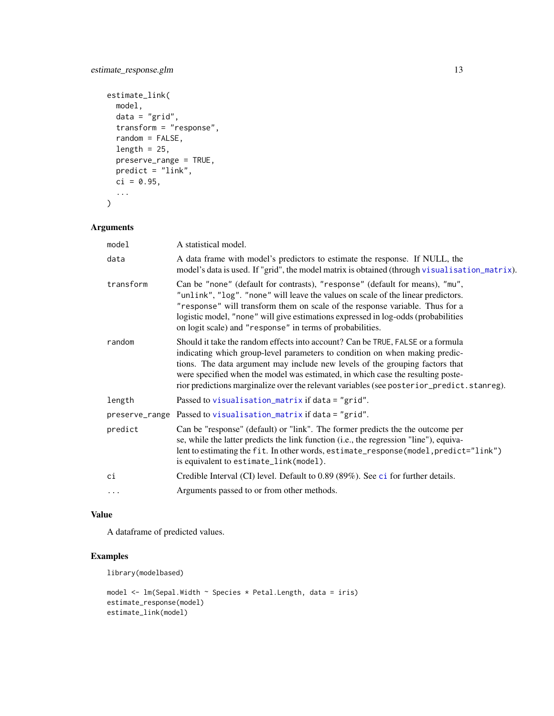```
estimate_link(
 model,
 data = "grid",transform = "response",
  random = FALSE,
 length = 25,
 preserve_range = TRUE,
 predict = "link",
 ci = 0.95,...
\mathcal{L}
```

| model     | A statistical model.                                                                                                                                                                                                                                                                                                                                                                                                           |
|-----------|--------------------------------------------------------------------------------------------------------------------------------------------------------------------------------------------------------------------------------------------------------------------------------------------------------------------------------------------------------------------------------------------------------------------------------|
| data      | A data frame with model's predictors to estimate the response. If NULL, the<br>model's data is used. If "grid", the model matrix is obtained (through visualisation_matrix).                                                                                                                                                                                                                                                   |
| transform | Can be "none" (default for contrasts), "response" (default for means), "mu",<br>"unlink", "log". "none" will leave the values on scale of the linear predictors.<br>"response" will transform them on scale of the response variable. Thus for a<br>logistic model, "none" will give estimations expressed in log-odds (probabilities<br>on logit scale) and "response" in terms of probabilities.                             |
| random    | Should it take the random effects into account? Can be TRUE, FALSE or a formula<br>indicating which group-level parameters to condition on when making predic-<br>tions. The data argument may include new levels of the grouping factors that<br>were specified when the model was estimated, in which case the resulting poste-<br>rior predictions marginalize over the relevant variables (see posterior_predict.stanreg). |
| length    | Passed to visualisation_matrix if data = "grid".                                                                                                                                                                                                                                                                                                                                                                               |
|           | preserve_range Passed to visualisation_matrix if data = "grid".                                                                                                                                                                                                                                                                                                                                                                |
| predict   | Can be "response" (default) or "link". The former predicts the the outcome per<br>se, while the latter predicts the link function (i.e., the regression "line"), equiva-<br>lent to estimating the fit. In other words, estimate_response(model, predict="link")<br>is equivalent to estimate_link(model).                                                                                                                     |
| сi        | Credible Interval (CI) level. Default to 0.89 (89%). See ci for further details.                                                                                                                                                                                                                                                                                                                                               |
| $\cdots$  | Arguments passed to or from other methods.                                                                                                                                                                                                                                                                                                                                                                                     |

#### Value

A dataframe of predicted values.

#### Examples

library(modelbased)

```
model <- lm(Sepal.Width ~ Species * Petal.Length, data = iris)
estimate_response(model)
estimate_link(model)
```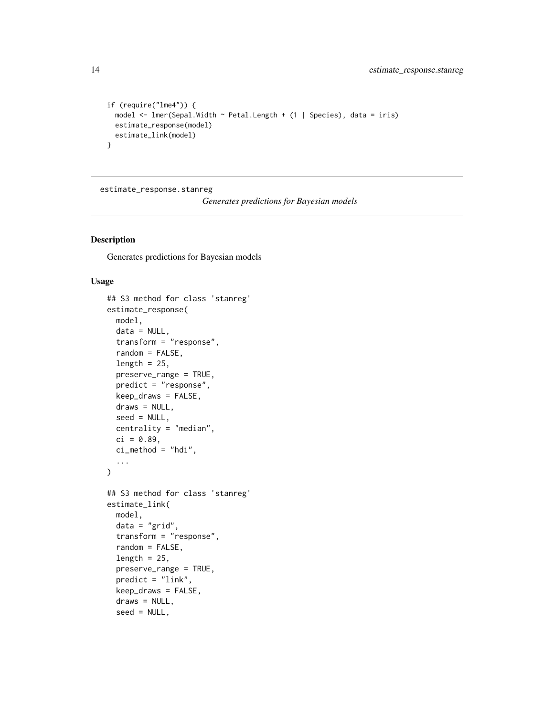```
if (require("lme4")) {
 model <- lmer(Sepal.Width ~ Petal.Length + (1 | Species), data = iris)
 estimate_response(model)
 estimate_link(model)
}
```
<span id="page-13-1"></span>estimate\_response.stanreg

*Generates predictions for Bayesian models*

#### Description

Generates predictions for Bayesian models

```
## S3 method for class 'stanreg'
estimate_response(
  model,
  data = NULL,transform = "response",
  random = FALSE,
  length = 25,
  preserve_range = TRUE,
 predict = "response",
  keep_draws = FALSE,
  draws = NULL,
  seed = NULL,
  centrality = "median",
  ci = 0.89,
  ci method = "hdi",
  ...
\mathcal{L}## S3 method for class 'stanreg'
estimate_link(
  model,
  data = "grid",
  transform = "response",
  random = FALSE,
  length = 25,
  preserve_range = TRUE,
  predict = "link",
  keep_draws = FALSE,
  draws = NULL,seed = NULL,
```
<span id="page-13-0"></span>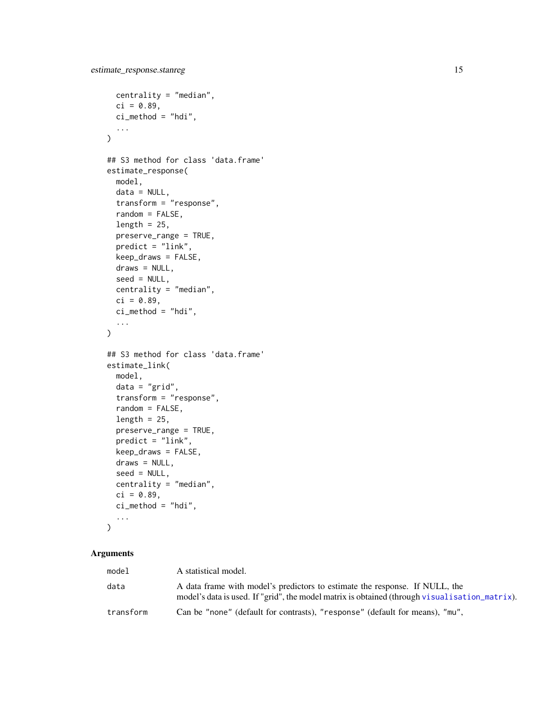```
centrality = "median",
 ci = 0.89,ci method = "hdi",
  ...
\mathcal{L}## S3 method for class 'data.frame'
estimate_response(
 model,
 data = NULL,transform = "response",
  random = FALSE,
 length = 25,
 preserve_range = TRUE,
 predict = "link",
 keep_draws = FALSE,
 draws = NULL,
  seed = NULL,
 centrality = "median",
 ci = 0.89,
 ci_method = "hdi",
  ...
\mathcal{L}## S3 method for class 'data.frame'
estimate_link(
 model,
 data = "grid",
  transform = "response",
  random = FALSE,
  length = 25,
 preserve_range = TRUE,
 predict = "link",
 keep_draws = FALSE,
  draws = NULL,
  seed = NULL,
 centrality = "median",
 ci = 0.89,ci_method = "hdi",...
\mathcal{L}
```

| model     | A statistical model.                                                                                                                                                                |
|-----------|-------------------------------------------------------------------------------------------------------------------------------------------------------------------------------------|
| data      | A data frame with model's predictors to estimate the response. If NULL, the<br>model's data is used. If "grid", the model matrix is obtained (through visual is at ion $_matrix$ ). |
| transform | Can be "none" (default for contrasts), "response" (default for means), "mu",                                                                                                        |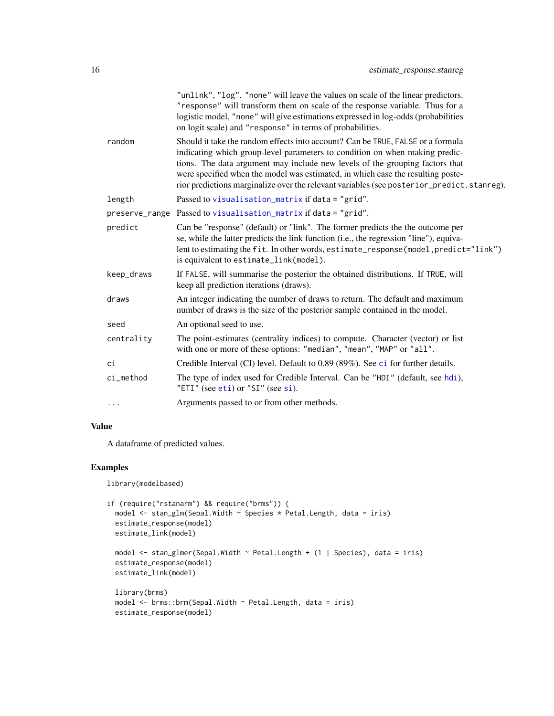<span id="page-15-0"></span>

|            | "unlink", "log". "none" will leave the values on scale of the linear predictors.<br>"response" will transform them on scale of the response variable. Thus for a<br>logistic model, "none" will give estimations expressed in log-odds (probabilities<br>on logit scale) and "response" in terms of probabilities.                                                                                                             |
|------------|--------------------------------------------------------------------------------------------------------------------------------------------------------------------------------------------------------------------------------------------------------------------------------------------------------------------------------------------------------------------------------------------------------------------------------|
| random     | Should it take the random effects into account? Can be TRUE, FALSE or a formula<br>indicating which group-level parameters to condition on when making predic-<br>tions. The data argument may include new levels of the grouping factors that<br>were specified when the model was estimated, in which case the resulting poste-<br>rior predictions marginalize over the relevant variables (see posterior_predict.stanreg). |
| length     | Passed to visualisation_matrix if data = "grid".                                                                                                                                                                                                                                                                                                                                                                               |
|            | preserve_range Passed to visualisation_matrix if data = "grid".                                                                                                                                                                                                                                                                                                                                                                |
| predict    | Can be "response" (default) or "link". The former predicts the the outcome per<br>se, while the latter predicts the link function (i.e., the regression "line"), equiva-<br>lent to estimating the fit. In other words, estimate_response(model, predict="link")<br>is equivalent to estimate_link(model).                                                                                                                     |
| keep_draws | If FALSE, will summarise the posterior the obtained distributions. If TRUE, will<br>keep all prediction iterations (draws).                                                                                                                                                                                                                                                                                                    |
| draws      | An integer indicating the number of draws to return. The default and maximum<br>number of draws is the size of the posterior sample contained in the model.                                                                                                                                                                                                                                                                    |
| seed       | An optional seed to use.                                                                                                                                                                                                                                                                                                                                                                                                       |
| centrality | The point-estimates (centrality indices) to compute. Character (vector) or list<br>with one or more of these options: "median", "mean", "MAP" or "all".                                                                                                                                                                                                                                                                        |
| сi         | Credible Interval (CI) level. Default to 0.89 (89%). See ci for further details.                                                                                                                                                                                                                                                                                                                                               |
| ci_method  | The type of index used for Credible Interval. Can be "HDI" (default, see hdi),<br>"ETI" (see eti) or "SI" (see si).                                                                                                                                                                                                                                                                                                            |
|            | Arguments passed to or from other methods.                                                                                                                                                                                                                                                                                                                                                                                     |
|            |                                                                                                                                                                                                                                                                                                                                                                                                                                |

# Value

A dataframe of predicted values.

### Examples

library(modelbased)

```
if (require("rstanarm") && require("brms")) {
 model <- stan_glm(Sepal.Width ~ Species * Petal.Length, data = iris)
  estimate_response(model)
  estimate_link(model)
  model <- stan_glmer(Sepal.Width ~ Petal.Length + (1 | Species), data = iris)
  estimate_response(model)
  estimate_link(model)
  library(brms)
  model <- brms::brm(Sepal.Width ~ Petal.Length, data = iris)
  estimate_response(model)
```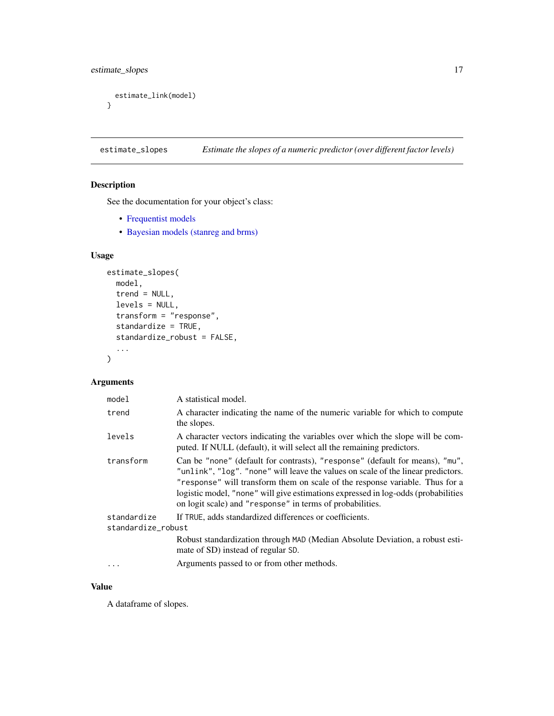<span id="page-16-0"></span>estimate\_slopes 17

```
estimate_link(model)
}
```
estimate\_slopes *Estimate the slopes of a numeric predictor (over different factor levels)*

# Description

See the documentation for your object's class:

- [Frequentist models](#page-17-1)
- [Bayesian models \(stanreg and brms\)](#page-18-1)

#### Usage

```
estimate_slopes(
  model,
  trend = NULL,
  levels = NULL,
  transform = "response",
  standardize = TRUE,
  standardize_robust = FALSE,
  ...
\mathcal{L}
```
#### Arguments

| model                             | A statistical model.                                                                                                                                                                                                                                                                                                                                                                               |
|-----------------------------------|----------------------------------------------------------------------------------------------------------------------------------------------------------------------------------------------------------------------------------------------------------------------------------------------------------------------------------------------------------------------------------------------------|
| trend                             | A character indicating the name of the numeric variable for which to compute<br>the slopes.                                                                                                                                                                                                                                                                                                        |
| levels                            | A character vectors indicating the variables over which the slope will be com-<br>puted. If NULL (default), it will select all the remaining predictors.                                                                                                                                                                                                                                           |
| transform                         | Can be "none" (default for contrasts), "response" (default for means), "mu",<br>"unlink", "log". "none" will leave the values on scale of the linear predictors.<br>"response" will transform them on scale of the response variable. Thus for a<br>logistic model, "none" will give estimations expressed in log-odds (probabilities<br>on logit scale) and "response" in terms of probabilities. |
| standardize<br>standardize_robust | If TRUE, adds standardized differences or coefficients.                                                                                                                                                                                                                                                                                                                                            |
|                                   | Robust standardization through MAD (Median Absolute Deviation, a robust esti-<br>mate of SD) instead of regular SD.                                                                                                                                                                                                                                                                                |
|                                   | Arguments passed to or from other methods.                                                                                                                                                                                                                                                                                                                                                         |

#### Value

A dataframe of slopes.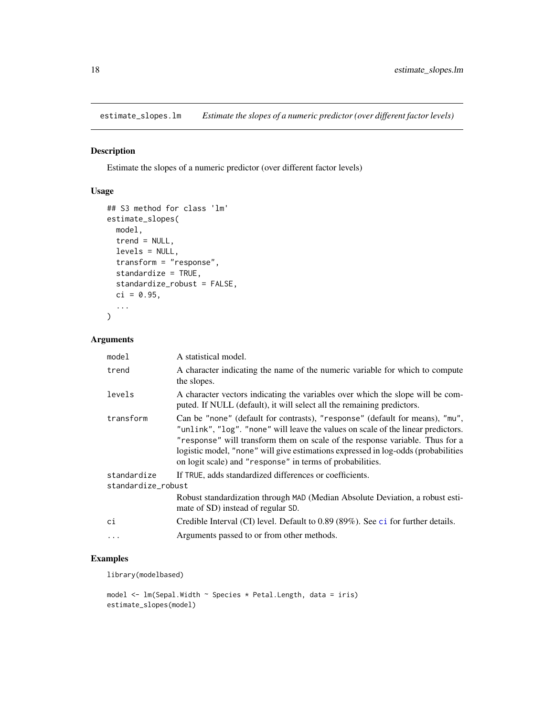<span id="page-17-1"></span><span id="page-17-0"></span>estimate\_slopes.lm *Estimate the slopes of a numeric predictor (over different factor levels)*

#### Description

Estimate the slopes of a numeric predictor (over different factor levels)

## Usage

```
## S3 method for class 'lm'
estimate_slopes(
 model,
 trend = NULL,
  levels = NULL,
  transform = "response",
  standardize = TRUE,
  standardize_robust = FALSE,
 ci = 0.95,...
\mathcal{L}
```
#### Arguments

| model                             | A statistical model.                                                                                                                                                                                                                                                                                                                                                                               |
|-----------------------------------|----------------------------------------------------------------------------------------------------------------------------------------------------------------------------------------------------------------------------------------------------------------------------------------------------------------------------------------------------------------------------------------------------|
| trend                             | A character indicating the name of the numeric variable for which to compute<br>the slopes.                                                                                                                                                                                                                                                                                                        |
| levels                            | A character vectors indicating the variables over which the slope will be com-<br>puted. If NULL (default), it will select all the remaining predictors.                                                                                                                                                                                                                                           |
| transform                         | Can be "none" (default for contrasts), "response" (default for means), "mu",<br>"unlink", "log". "none" will leave the values on scale of the linear predictors.<br>"response" will transform them on scale of the response variable. Thus for a<br>logistic model, "none" will give estimations expressed in log-odds (probabilities<br>on logit scale) and "response" in terms of probabilities. |
| standardize<br>standardize_robust | If TRUE, adds standardized differences or coefficients.                                                                                                                                                                                                                                                                                                                                            |
|                                   | Robust standardization through MAD (Median Absolute Deviation, a robust esti-<br>mate of SD) instead of regular SD.                                                                                                                                                                                                                                                                                |
| сi                                | Credible Interval (CI) level. Default to 0.89 (89%). See ci for further details.                                                                                                                                                                                                                                                                                                                   |
| .                                 | Arguments passed to or from other methods.                                                                                                                                                                                                                                                                                                                                                         |

#### Examples

library(modelbased)

```
model <- lm(Sepal.Width ~ Species * Petal.Length, data = iris)
estimate_slopes(model)
```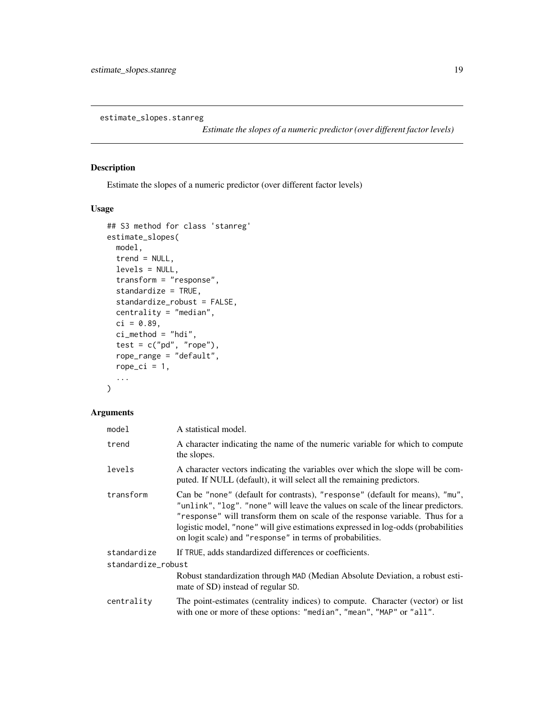<span id="page-18-1"></span><span id="page-18-0"></span>estimate\_slopes.stanreg

*Estimate the slopes of a numeric predictor (over different factor levels)*

#### Description

Estimate the slopes of a numeric predictor (over different factor levels)

#### Usage

```
## S3 method for class 'stanreg'
estimate_slopes(
 model,
 trend = NULL,
 levels = NULL,
  transform = "response",
  standardize = TRUE,
  standardize_robust = FALSE,
 centrality = "median",
 ci = 0.89,ci_method = "hdi",test = c("pd", "rope"),rope_range = "default",
  rope_ci = 1,
  ...
)
```
#### Arguments

| model              | A statistical model.                                                                                                                                                                                                                                                                                                                                                                               |  |
|--------------------|----------------------------------------------------------------------------------------------------------------------------------------------------------------------------------------------------------------------------------------------------------------------------------------------------------------------------------------------------------------------------------------------------|--|
| trend              | A character indicating the name of the numeric variable for which to compute<br>the slopes.                                                                                                                                                                                                                                                                                                        |  |
| levels             | A character vectors indicating the variables over which the slope will be com-<br>puted. If NULL (default), it will select all the remaining predictors.                                                                                                                                                                                                                                           |  |
| transform          | Can be "none" (default for contrasts), "response" (default for means), "mu",<br>"unlink", "log". "none" will leave the values on scale of the linear predictors.<br>"response" will transform them on scale of the response variable. Thus for a<br>logistic model, "none" will give estimations expressed in log-odds (probabilities<br>on logit scale) and "response" in terms of probabilities. |  |
| standardize        | If TRUE, adds standardized differences or coefficients.                                                                                                                                                                                                                                                                                                                                            |  |
| standardize_robust |                                                                                                                                                                                                                                                                                                                                                                                                    |  |
|                    | Robust standardization through MAD (Median Absolute Deviation, a robust esti-<br>mate of SD) instead of regular SD.                                                                                                                                                                                                                                                                                |  |
| centrality         | The point-estimates (centrality indices) to compute. Character (vector) or list<br>with one or more of these options: "median", "mean", "MAP" or "all".                                                                                                                                                                                                                                            |  |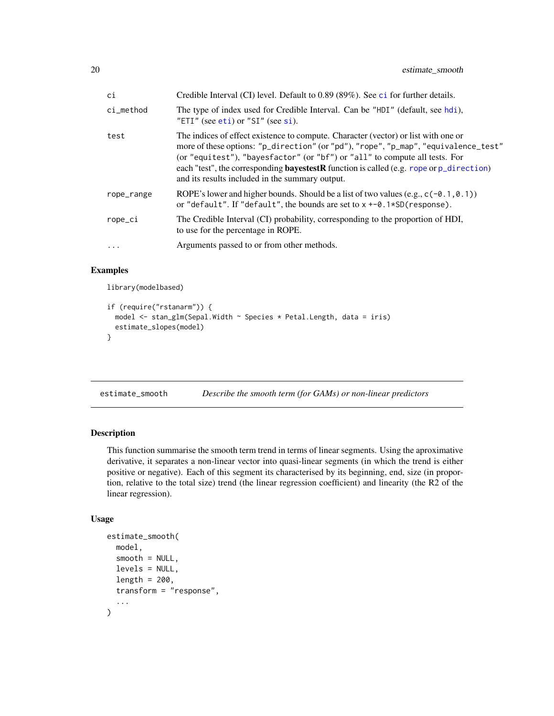<span id="page-19-0"></span>

| ci         | Credible Interval (CI) level. Default to 0.89 (89%). See ci for further details.                                                                                                                                                                                                                                                                                                                                 |
|------------|------------------------------------------------------------------------------------------------------------------------------------------------------------------------------------------------------------------------------------------------------------------------------------------------------------------------------------------------------------------------------------------------------------------|
| ci method  | The type of index used for Credible Interval. Can be "HDI" (default, see hdi),<br>"ETI" (see eti) or "SI" (see si).                                                                                                                                                                                                                                                                                              |
| test       | The indices of effect existence to compute. Character (vector) or list with one or<br>more of these options: "p_direction" (or "pd"), "rope", "p_map", "equivalence_test"<br>(or "equitest"), "bayesfactor" (or "bf") or "all" to compute all tests. For<br>each "test", the corresponding <b>bayestestR</b> function is called (e.g. rope or $p$ _direction)<br>and its results included in the summary output. |
| rope_range | ROPE's lower and higher bounds. Should be a list of two values $(e.g., c(-0.1, 0.1))$<br>or "default". If "default", the bounds are set to $x + -0.1*SD$ (response).                                                                                                                                                                                                                                             |
| rope_ci    | The Credible Interval (CI) probability, corresponding to the proportion of HDI,<br>to use for the percentage in ROPE.                                                                                                                                                                                                                                                                                            |
| $\ddotsc$  | Arguments passed to or from other methods.                                                                                                                                                                                                                                                                                                                                                                       |
|            |                                                                                                                                                                                                                                                                                                                                                                                                                  |

#### Examples

library(modelbased)

```
if (require("rstanarm")) {
 model <- stan_glm(Sepal.Width ~ Species * Petal.Length, data = iris)
 estimate_slopes(model)
}
```
estimate\_smooth *Describe the smooth term (for GAMs) or non-linear predictors*

#### Description

This function summarise the smooth term trend in terms of linear segments. Using the aproximative derivative, it separates a non-linear vector into quasi-linear segments (in which the trend is either positive or negative). Each of this segment its characterised by its beginning, end, size (in proportion, relative to the total size) trend (the linear regression coefficient) and linearity (the R2 of the linear regression).

```
estimate_smooth(
 model,
  smooth = NULL,levels = NULL,
  length = 200,transform = "response",
  ...
)
```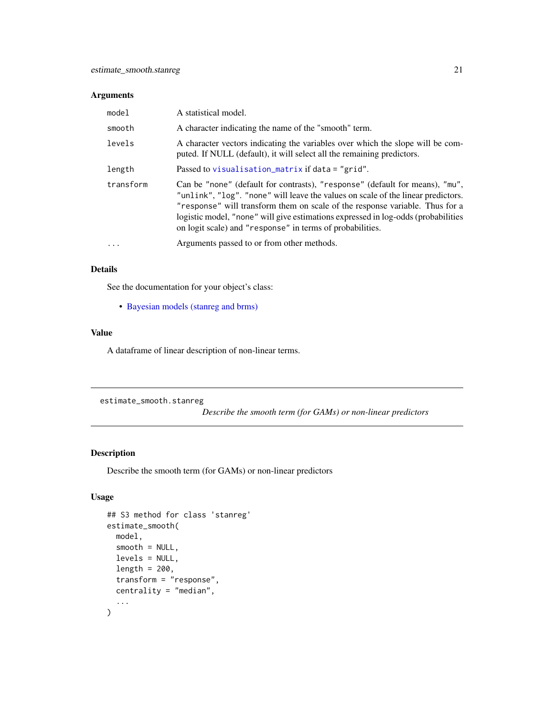<span id="page-20-0"></span>

| model     | A statistical model.                                                                                                                                                                                                                                                                                                                                                                               |
|-----------|----------------------------------------------------------------------------------------------------------------------------------------------------------------------------------------------------------------------------------------------------------------------------------------------------------------------------------------------------------------------------------------------------|
| smooth    | A character indicating the name of the "smooth" term.                                                                                                                                                                                                                                                                                                                                              |
| levels    | A character vectors indicating the variables over which the slope will be com-<br>puted. If NULL (default), it will select all the remaining predictors.                                                                                                                                                                                                                                           |
| length    | Passed to visualisation_matrix if data = "grid".                                                                                                                                                                                                                                                                                                                                                   |
| transform | Can be "none" (default for contrasts), "response" (default for means), "mu",<br>"unlink", "log". "none" will leave the values on scale of the linear predictors.<br>"response" will transform them on scale of the response variable. Thus for a<br>logistic model, "none" will give estimations expressed in log-odds (probabilities<br>on logit scale) and "response" in terms of probabilities. |
| $\cdots$  | Arguments passed to or from other methods.                                                                                                                                                                                                                                                                                                                                                         |

#### Details

See the documentation for your object's class:

• [Bayesian models \(stanreg and brms\)](#page-20-1)

#### Value

A dataframe of linear description of non-linear terms.

<span id="page-20-1"></span>estimate\_smooth.stanreg

*Describe the smooth term (for GAMs) or non-linear predictors*

# Description

Describe the smooth term (for GAMs) or non-linear predictors

```
## S3 method for class 'stanreg'
estimate_smooth(
 model,
 smooth = NULL,
 levels = NULL,
 length = 200,
  transform = "response",
 centrality = "median",
  ...
)
```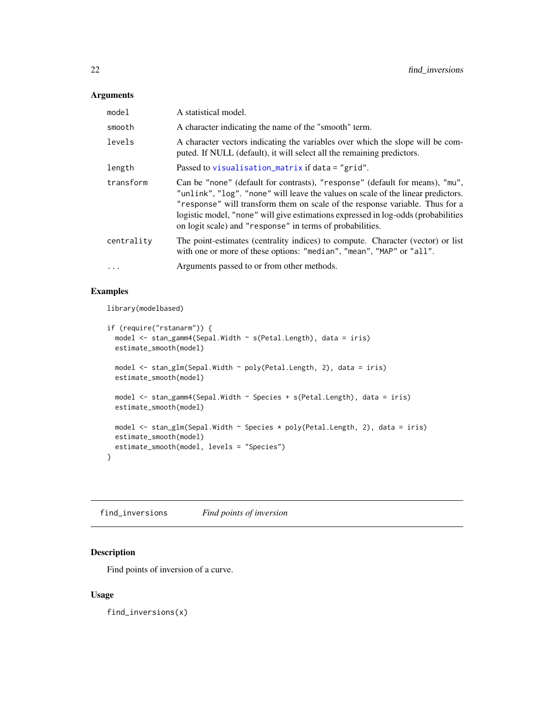<span id="page-21-0"></span>

| model      | A statistical model.                                                                                                                                                                                                                                                                                                                                                                               |
|------------|----------------------------------------------------------------------------------------------------------------------------------------------------------------------------------------------------------------------------------------------------------------------------------------------------------------------------------------------------------------------------------------------------|
| smooth     | A character indicating the name of the "smooth" term.                                                                                                                                                                                                                                                                                                                                              |
| levels     | A character vectors indicating the variables over which the slope will be com-<br>puted. If NULL (default), it will select all the remaining predictors.                                                                                                                                                                                                                                           |
| length     | Passed to visualisation_matrix if $data = "grid".$                                                                                                                                                                                                                                                                                                                                                 |
| transform  | Can be "none" (default for contrasts), "response" (default for means), "mu",<br>"unlink", "log". "none" will leave the values on scale of the linear predictors.<br>"response" will transform them on scale of the response variable. Thus for a<br>logistic model, "none" will give estimations expressed in log-odds (probabilities<br>on logit scale) and "response" in terms of probabilities. |
| centrality | The point-estimates (centrality indices) to compute. Character (vector) or list<br>with one or more of these options: "median", "mean", "MAP" or "all".                                                                                                                                                                                                                                            |
| $\ddotsc$  | Arguments passed to or from other methods.                                                                                                                                                                                                                                                                                                                                                         |

#### Examples

library(modelbased)

```
if (require("rstanarm")) {
 model <- stan_gamm4(Sepal.Width ~ s(Petal.Length), data = iris)
 estimate_smooth(model)
 model <- stan_glm(Sepal.Width ~ poly(Petal.Length, 2), data = iris)
 estimate_smooth(model)
 model <- stan_gamm4(Sepal.Width ~ Species + s(Petal.Length), data = iris)
 estimate_smooth(model)
 model <- stan_glm(Sepal.Width ~ Species * poly(Petal.Length, 2), data = iris)
 estimate_smooth(model)
 estimate_smooth(model, levels = "Species")
}
```
find\_inversions *Find points of inversion*

#### Description

Find points of inversion of a curve.

#### Usage

find\_inversions(x)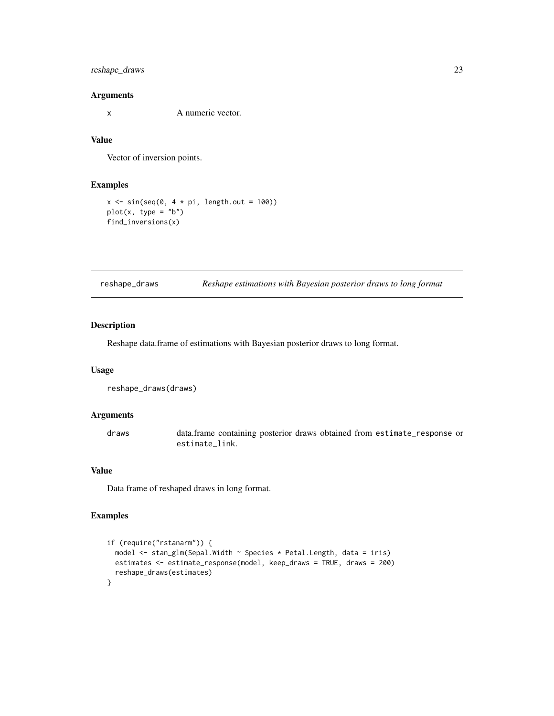#### <span id="page-22-0"></span>reshape\_draws 23

#### Arguments

x A numeric vector.

# Value

Vector of inversion points.

#### Examples

```
x \le -\sin(\sec(\theta, 4 \times \pi), \text{length.out} = 100)plot(x, type = "b")find_inversions(x)
```
reshape\_draws *Reshape estimations with Bayesian posterior draws to long format*

#### Description

Reshape data.frame of estimations with Bayesian posterior draws to long format.

#### Usage

reshape\_draws(draws)

#### Arguments

draws data.frame containing posterior draws obtained from estimate\_response or estimate\_link.

#### Value

Data frame of reshaped draws in long format.

#### Examples

```
if (require("rstanarm")) {
 model <- stan_glm(Sepal.Width ~ Species * Petal.Length, data = iris)
 estimates <- estimate_response(model, keep_draws = TRUE, draws = 200)
 reshape_draws(estimates)
}
```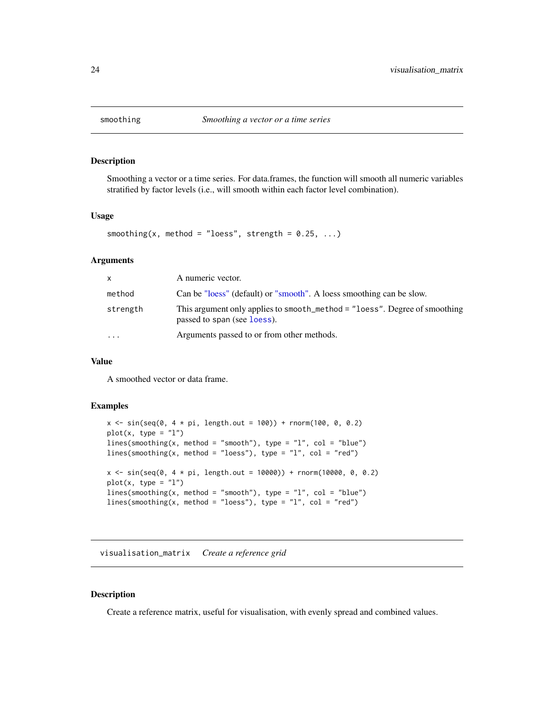<span id="page-23-0"></span>

#### Description

Smoothing a vector or a time series. For data.frames, the function will smooth all numeric variables stratified by factor levels (i.e., will smooth within each factor level combination).

#### Usage

```
smoothing(x, method = "loess", strength = 0.25, ...)
```
#### Arguments

| x.        | A numeric vector.                                                                                         |
|-----------|-----------------------------------------------------------------------------------------------------------|
| method    | Can be "loess" (default) or "smooth". A loess smoothing can be slow.                                      |
| strength  | This argument only applies to smooth_method = "loess". Degree of smoothing<br>passed to span (see loess). |
| $\ddotsc$ | Arguments passed to or from other methods.                                                                |

#### Value

A smoothed vector or data frame.

#### Examples

```
x \le -\sin(\sec(\theta, 4 * \pi), \text{length.out} = 100) + \text{norm}(100, 0, 0.2)plot(x, type = "l")lines(smoothing(x, method = "smooth"), type = "l", col = "blue")
lines(smoothing(x, method = "loess"), type = "l", col = "red")x \le -\sin(\sec(\theta, 4 * \pi), \text{length.out} = 10000) + \text{norm}(10000, 0, 0.2)plot(x, type = "l")lines(smoothing(x, method = "smooth"), type = "l", col = "blue")lines(smoothing(x, method = "loess"), type = "l", col = "red")
```
<span id="page-23-1"></span>visualisation\_matrix *Create a reference grid*

#### Description

Create a reference matrix, useful for visualisation, with evenly spread and combined values.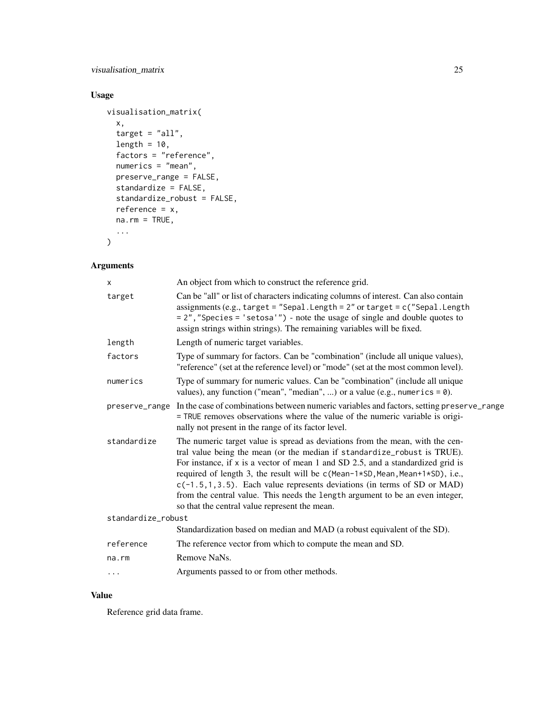# visualisation\_matrix 25

# Usage

```
visualisation_matrix(
 x,
  target = "all",
 length = 10,
 factors = "reference",
 numerics = "mean",
 preserve_range = FALSE,
 standardize = FALSE,
 standardize_robust = FALSE,
 reference = x,
 na.rm = TRUE,...
)
```
# Arguments

| $\times$           | An object from which to construct the reference grid.                                                                                                                                                                                                                                                                                                                                                                                                                                                                                             |
|--------------------|---------------------------------------------------------------------------------------------------------------------------------------------------------------------------------------------------------------------------------------------------------------------------------------------------------------------------------------------------------------------------------------------------------------------------------------------------------------------------------------------------------------------------------------------------|
| target             | Can be "all" or list of characters indicating columns of interest. Can also contain<br>assignments (e.g., target = "Sepal. Length = $2$ " or target = $c$ ("Sepal. Length<br>= 2", "Species = 'setosa'") - note the usage of single and double quotes to<br>assign strings within strings). The remaining variables will be fixed.                                                                                                                                                                                                                |
| length             | Length of numeric target variables.                                                                                                                                                                                                                                                                                                                                                                                                                                                                                                               |
| factors            | Type of summary for factors. Can be "combination" (include all unique values),<br>"reference" (set at the reference level) or "mode" (set at the most common level).                                                                                                                                                                                                                                                                                                                                                                              |
| numerics           | Type of summary for numeric values. Can be "combination" (include all unique<br>values), any function ("mean", "median", ) or a value (e.g., numerics = $\theta$ ).                                                                                                                                                                                                                                                                                                                                                                               |
|                    | preserve_range In the case of combinations between numeric variables and factors, setting preserve_range<br>= TRUE removes observations where the value of the numeric variable is origi-<br>nally not present in the range of its factor level.                                                                                                                                                                                                                                                                                                  |
| standardize        | The numeric target value is spread as deviations from the mean, with the cen-<br>tral value being the mean (or the median if standardize_robust is TRUE).<br>For instance, if $x$ is a vector of mean 1 and SD 2.5, and a standardized grid is<br>required of length 3, the result will be c(Mean-1*SD, Mean, Mean+1*SD), i.e.,<br>$c(-1.5, 1, 3.5)$ . Each value represents deviations (in terms of SD or MAD)<br>from the central value. This needs the length argument to be an even integer,<br>so that the central value represent the mean. |
| standardize_robust |                                                                                                                                                                                                                                                                                                                                                                                                                                                                                                                                                   |
|                    | Standardization based on median and MAD (a robust equivalent of the SD).                                                                                                                                                                                                                                                                                                                                                                                                                                                                          |
| reference          | The reference vector from which to compute the mean and SD.                                                                                                                                                                                                                                                                                                                                                                                                                                                                                       |
| $na$ . $rm$        | Remove NaNs.                                                                                                                                                                                                                                                                                                                                                                                                                                                                                                                                      |
| $\cdots$           | Arguments passed to or from other methods.                                                                                                                                                                                                                                                                                                                                                                                                                                                                                                        |

#### Value

Reference grid data frame.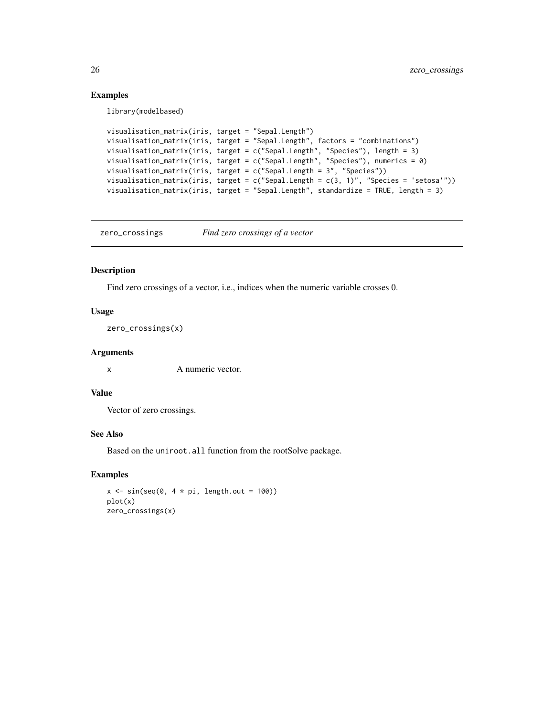#### Examples

library(modelbased)

```
visualisation_matrix(iris, target = "Sepal.Length")
visualisation_matrix(iris, target = "Sepal.Length", factors = "combinations")
visualisation_matrix(iris, target = c("Sepal.Length", "Species"), length = 3)
visualisation_matrix(iris, target = c("Sepal.Length", "Species"), numerics = 0)
visualisation_matrix(iris, target = c("Sepal.Length = 3", "Species"))
visualisation_matrix(iris, target = c("Sepal.length = c(3, 1)", "Species = 'setosa"))visualisation_matrix(iris, target = "Sepal.Length", standardize = TRUE, length = 3)
```
zero\_crossings *Find zero crossings of a vector*

#### Description

Find zero crossings of a vector, i.e., indices when the numeric variable crosses 0.

#### Usage

zero\_crossings(x)

#### Arguments

x A numeric vector.

#### Value

Vector of zero crossings.

#### See Also

Based on the uniroot.all function from the rootSolve package.

#### Examples

```
x \le -\sin(\sec(\theta, 4 \times \pi), \text{length.out} = 100)plot(x)
zero_crossings(x)
```
<span id="page-25-0"></span>